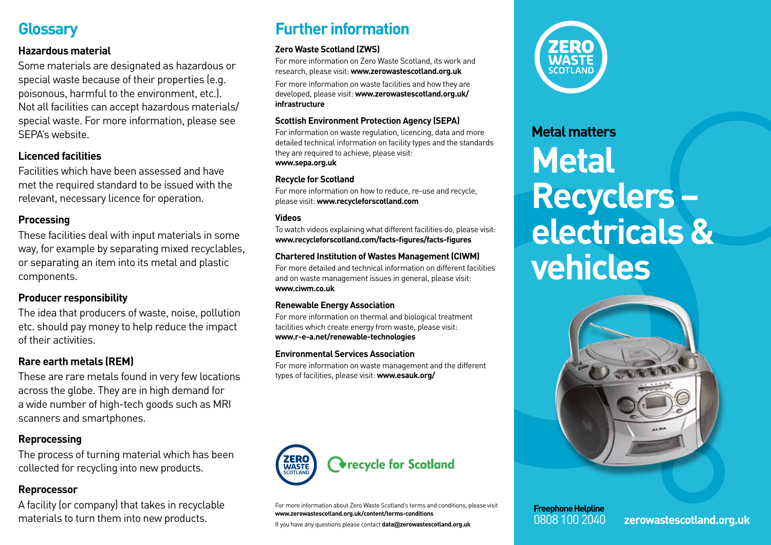# **Glossary**

#### **Hazardous material**

Some materials are designated as hazardous or special waste because of their properties (e.g. poisonous, harmful to the environment, etc.). Not all facilities can accept hazardous materials/ special waste. For more information, please see SEPA's website.

## **Licenced facilities**

Facilities which have been assessed and have met the required standard to be issued with the relevant, necessary licence for operation.

## **Processing**

These facilities deal with input materials in some way, for example by separating mixed recyclables, or separating an item into its metal and plastic components.

## **Producer responsibility**

The idea that producers of waste, noise, pollution etc. should pay money to help reduce the impact of their activities.

## **Rare earth metals (REM)**

These are rare metals found in very few locations across the globe. They are in high demand for a wide number of high-tech goods such as MRI scanners and smartphones.

## **Reprocessing**

The process of turning material which has been collected for recycling into new products.

#### **Reprocessor**

A facility (or company) that takes in recyclable materials to turn them into new products.

# **Further information**

#### **Zero Waste Scotland (ZWS)**

For more information on Zero Waste Scotland, its work and research, please visit: **www.zerowastescotland.org.uk**

For more information on waste facilities and how they are developed, please visit: **www.zerowastescotland.org.uk/ infrastructure**

#### **Scottish Environment Protection Agency (SEPA)**

For information on waste regulation, licencing, data and more detailed technical information on facility types and the standards they are required to achieve, please visit: **www.sepa.org.uk**

#### **Recycle for Scotland**

For more information on how to reduce, re-use and recycle, please visit: **www.recycleforscotland.com**

#### **Videos**

To watch videos explaining what different facilities do, please visit: **www.recycleforscotland.com/facts-figures/facts-figures**

#### **Chartered Institution of Wastes Management (CIWM)**

For more detailed and technical information on different facilities and on waste management issues in general, please visit: **www.ciwm.co.uk**

#### **Renewable Energy Association**

For more information on thermal and biological treatment facilities which create energy from waste, please visit: **www.r-e-a.net/renewable-technologies**

#### **Environmental Services Association**

For more information on waste management and the different types of facilities, please visit: **www.esauk.org/**



For more information about Zero Waste Scotland's terms and conditions, please visit **www.zerowastescotland.org.uk/content/terms-conditions**

If you have any questions please contact **data@zerowastescotland.org.uk**



# **Metal matters Metal Recyclers – electricals & vehicles**



**Freephone Helpline**

0808 100 2040 **zerowastescotland.org.uk**